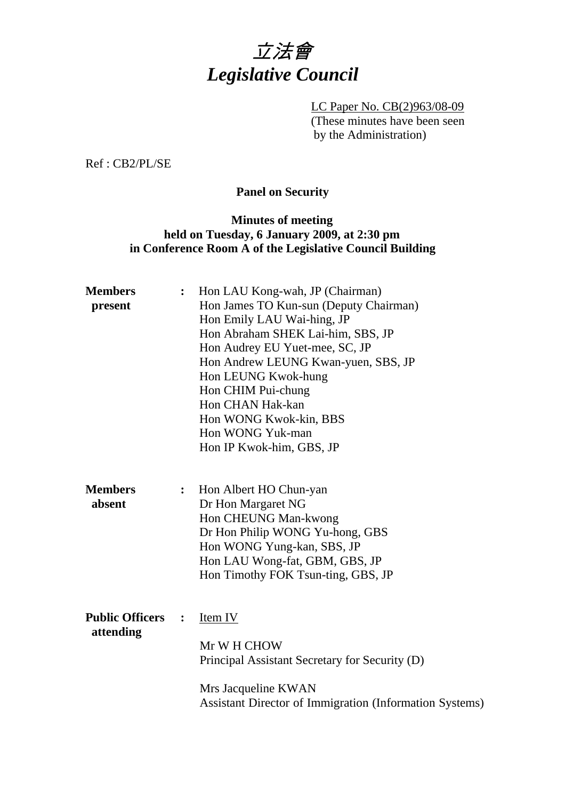

LC Paper No. CB(2)963/08-09 (These minutes have been seen by the Administration)

Ref : CB2/PL/SE

# **Panel on Security**

# **Minutes of meeting held on Tuesday, 6 January 2009, at 2:30 pm in Conference Room A of the Legislative Council Building**

| <b>Members</b>         |                         | Hon LAU Kong-wah, JP (Chairman)                         |
|------------------------|-------------------------|---------------------------------------------------------|
| present                |                         | Hon James TO Kun-sun (Deputy Chairman)                  |
|                        |                         | Hon Emily LAU Wai-hing, JP                              |
|                        |                         | Hon Abraham SHEK Lai-him, SBS, JP                       |
|                        |                         | Hon Audrey EU Yuet-mee, SC, JP                          |
|                        |                         | Hon Andrew LEUNG Kwan-yuen, SBS, JP                     |
|                        |                         | Hon LEUNG Kwok-hung                                     |
|                        |                         | Hon CHIM Pui-chung                                      |
|                        |                         | Hon CHAN Hak-kan                                        |
|                        |                         | Hon WONG Kwok-kin, BBS                                  |
|                        |                         | Hon WONG Yuk-man                                        |
|                        |                         | Hon IP Kwok-him, GBS, JP                                |
|                        |                         |                                                         |
| <b>Members</b>         | : $\hfill \blacksquare$ | Hon Albert HO Chun-yan                                  |
| absent                 |                         | Dr Hon Margaret NG                                      |
|                        |                         | Hon CHEUNG Man-kwong                                    |
|                        |                         | Dr Hon Philip WONG Yu-hong, GBS                         |
|                        |                         | Hon WONG Yung-kan, SBS, JP                              |
|                        |                         | Hon LAU Wong-fat, GBM, GBS, JP                          |
|                        |                         | Hon Timothy FOK Tsun-ting, GBS, JP                      |
|                        |                         |                                                         |
|                        |                         |                                                         |
| <b>Public Officers</b> | :                       | <u>Item IV</u>                                          |
| attending              |                         |                                                         |
|                        |                         | Mr W H CHOW                                             |
|                        |                         | Principal Assistant Secretary for Security (D)          |
|                        |                         | Mrs Jacqueline KWAN                                     |
|                        |                         | Assistant Director of Immigration (Information Systems) |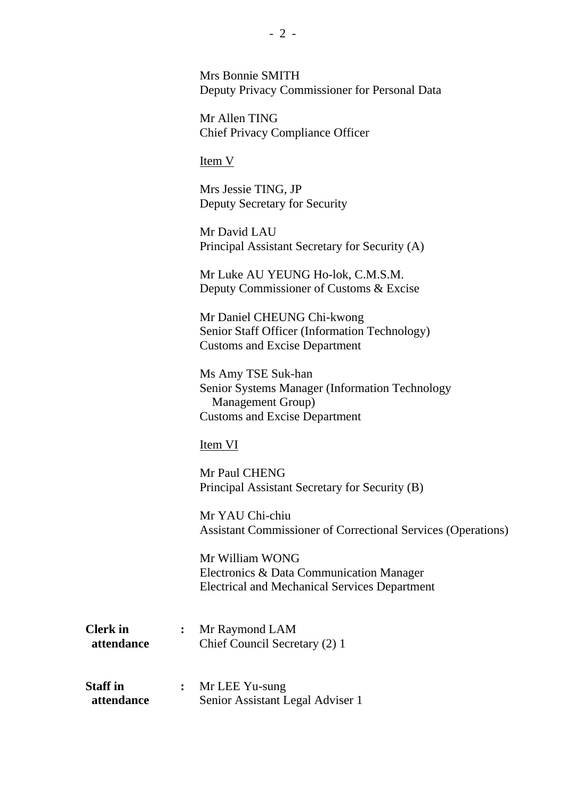| Mrs Bonnie SMITH                              |
|-----------------------------------------------|
| Deputy Privacy Commissioner for Personal Data |

Mr Allen TING Chief Privacy Compliance Officer

Item V

Mrs Jessie TING, JP Deputy Secretary for Security

Mr David LAU Principal Assistant Secretary for Security (A)

Mr Luke AU YEUNG Ho-lok, C.M.S.M. Deputy Commissioner of Customs & Excise

Mr Daniel CHEUNG Chi-kwong Senior Staff Officer (Information Technology) Customs and Excise Department

Ms Amy TSE Suk-han Senior Systems Manager (Information Technology Management Group) Customs and Excise Department

#### Item VI

Mr Paul CHENG Principal Assistant Secretary for Security (B)

Mr YAU Chi-chiu Assistant Commissioner of Correctional Services (Operations)

Mr William WONG Electronics & Data Communication Manager Electrical and Mechanical Services Department

| <b>Clerk</b> in | Mr Raymond LAM                |
|-----------------|-------------------------------|
| attendance      | Chief Council Secretary (2) 1 |

| <b>Staff</b> in | Mr LEE Yu-sung                   |
|-----------------|----------------------------------|
| attendance      | Senior Assistant Legal Adviser 1 |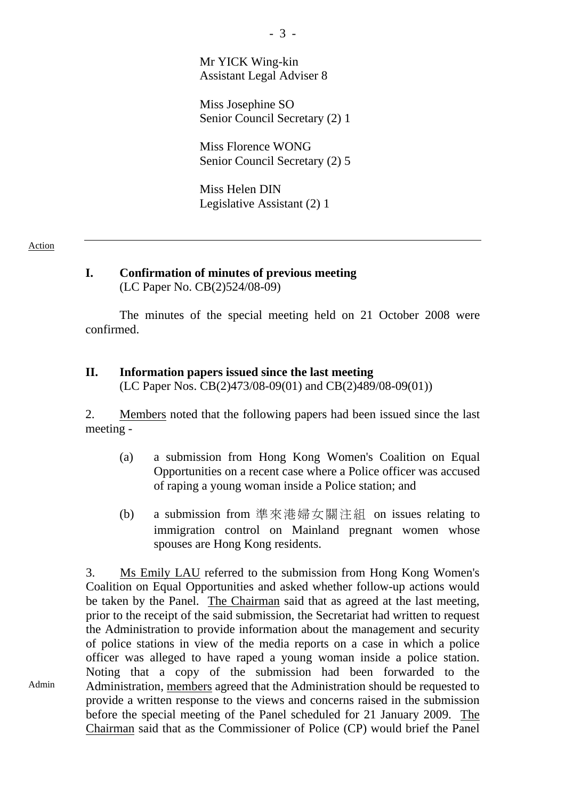Mr YICK Wing-kin Assistant Legal Adviser 8

Miss Josephine SO Senior Council Secretary (2) 1

Miss Florence WONG Senior Council Secretary (2) 5

Miss Helen DIN Legislative Assistant (2) 1

#### Action

Admin

#### **I. Confirmation of minutes of previous meeting**  (LC Paper No. CB(2)524/08-09)

The minutes of the special meeting held on 21 October 2008 were confirmed.

# **II. Information papers issued since the last meeting**

(LC Paper Nos. CB(2)473/08-09(01) and CB(2)489/08-09(01))

2. Members noted that the following papers had been issued since the last meeting -

- (a) a submission from Hong Kong Women's Coalition on Equal Opportunities on a recent case where a Police officer was accused of raping a young woman inside a Police station; and
- (b) a submission from 準來港婦女關注組 on issues relating to immigration control on Mainland pregnant women whose spouses are Hong Kong residents.

3. Ms Emily LAU referred to the submission from Hong Kong Women's Coalition on Equal Opportunities and asked whether follow-up actions would be taken by the Panel. The Chairman said that as agreed at the last meeting, prior to the receipt of the said submission, the Secretariat had written to request the Administration to provide information about the management and security of police stations in view of the media reports on a case in which a police officer was alleged to have raped a young woman inside a police station. Noting that a copy of the submission had been forwarded to the Administration, members agreed that the Administration should be requested to provide a written response to the views and concerns raised in the submission before the special meeting of the Panel scheduled for 21 January 2009. The Chairman said that as the Commissioner of Police (CP) would brief the Panel

- 3 -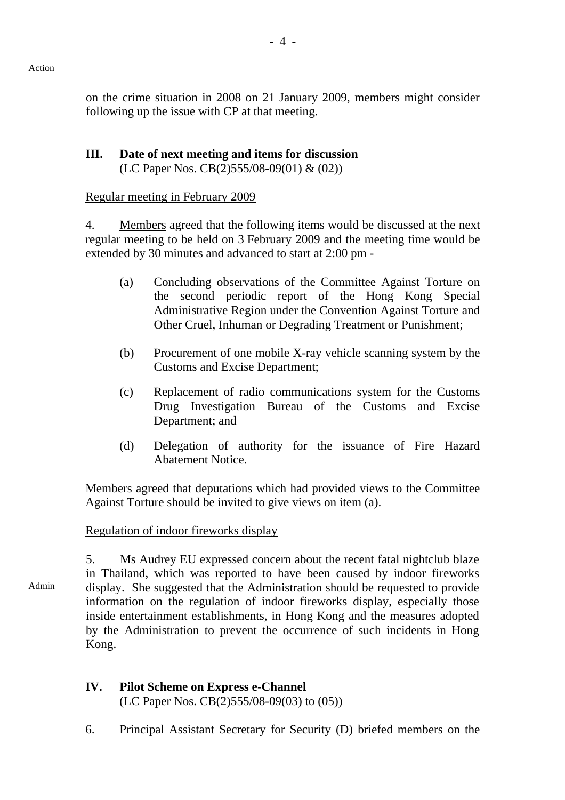on the crime situation in 2008 on 21 January 2009, members might consider following up the issue with CP at that meeting.

### **III. Date of next meeting and items for discussion**  (LC Paper Nos. CB(2)555/08-09(01) & (02))

### Regular meeting in February 2009

4. Members agreed that the following items would be discussed at the next regular meeting to be held on 3 February 2009 and the meeting time would be extended by 30 minutes and advanced to start at 2:00 pm -

- (a) Concluding observations of the Committee Against Torture on the second periodic report of the Hong Kong Special Administrative Region under the Convention Against Torture and Other Cruel, Inhuman or Degrading Treatment or Punishment;
- (b) Procurement of one mobile X-ray vehicle scanning system by the Customs and Excise Department;
- (c) Replacement of radio communications system for the Customs Drug Investigation Bureau of the Customs and Excise Department; and
- (d) Delegation of authority for the issuance of Fire Hazard Abatement Notice.

Members agreed that deputations which had provided views to the Committee Against Torture should be invited to give views on item (a).

# Regulation of indoor fireworks display

Admin 5. Ms Audrey EU expressed concern about the recent fatal nightclub blaze in Thailand, which was reported to have been caused by indoor fireworks display. She suggested that the Administration should be requested to provide information on the regulation of indoor fireworks display, especially those inside entertainment establishments, in Hong Kong and the measures adopted by the Administration to prevent the occurrence of such incidents in Hong Kong.

# **IV. Pilot Scheme on Express e-Channel**  (LC Paper Nos. CB(2)555/08-09(03) to (05))

6. Principal Assistant Secretary for Security (D) briefed members on the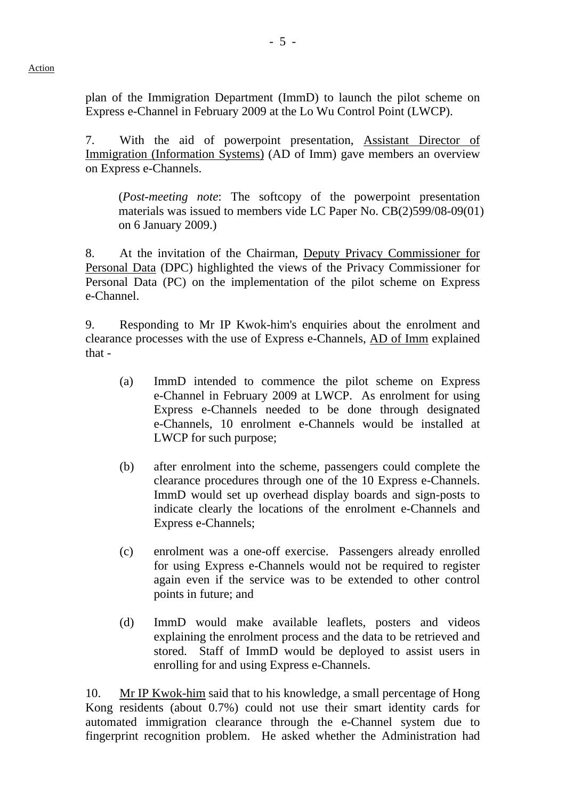plan of the Immigration Department (ImmD) to launch the pilot scheme on Express e-Channel in February 2009 at the Lo Wu Control Point (LWCP).

7. With the aid of powerpoint presentation, Assistant Director of Immigration (Information Systems) (AD of Imm) gave members an overview on Express e-Channels.

(*Post-meeting note*: The softcopy of the powerpoint presentation materials was issued to members vide LC Paper No. CB(2)599/08-09(01) on 6 January 2009.)

8. At the invitation of the Chairman, Deputy Privacy Commissioner for Personal Data (DPC) highlighted the views of the Privacy Commissioner for Personal Data (PC) on the implementation of the pilot scheme on Express e-Channel.

9. Responding to Mr IP Kwok-him's enquiries about the enrolment and clearance processes with the use of Express e-Channels, AD of Imm explained that -

- (a) ImmD intended to commence the pilot scheme on Express e-Channel in February 2009 at LWCP. As enrolment for using Express e-Channels needed to be done through designated e-Channels, 10 enrolment e-Channels would be installed at LWCP for such purpose;
- (b) after enrolment into the scheme, passengers could complete the clearance procedures through one of the 10 Express e-Channels. ImmD would set up overhead display boards and sign-posts to indicate clearly the locations of the enrolment e-Channels and Express e-Channels;
- (c) enrolment was a one-off exercise. Passengers already enrolled for using Express e-Channels would not be required to register again even if the service was to be extended to other control points in future; and
- (d) ImmD would make available leaflets, posters and videos explaining the enrolment process and the data to be retrieved and stored. Staff of ImmD would be deployed to assist users in enrolling for and using Express e-Channels.

10. Mr IP Kwok-him said that to his knowledge, a small percentage of Hong Kong residents (about 0.7%) could not use their smart identity cards for automated immigration clearance through the e-Channel system due to fingerprint recognition problem. He asked whether the Administration had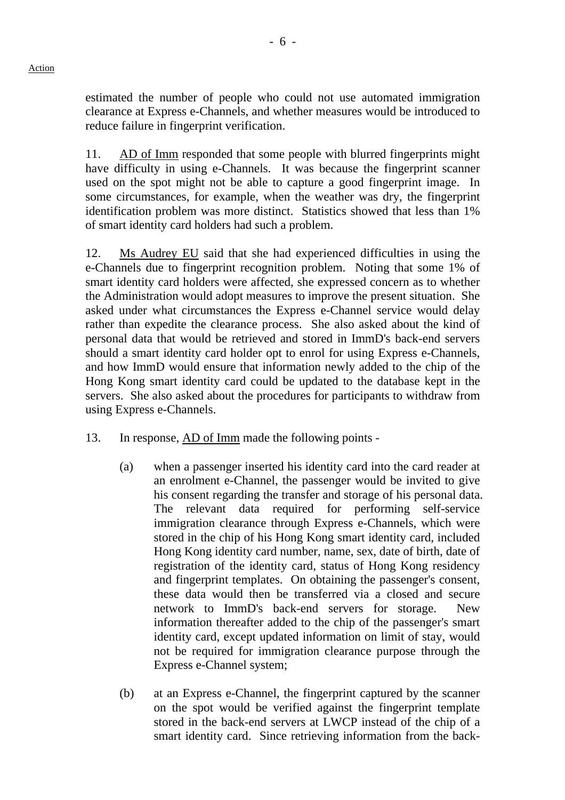estimated the number of people who could not use automated immigration clearance at Express e-Channels, and whether measures would be introduced to reduce failure in fingerprint verification.

11. AD of Imm responded that some people with blurred fingerprints might have difficulty in using e-Channels. It was because the fingerprint scanner used on the spot might not be able to capture a good fingerprint image. In some circumstances, for example, when the weather was dry, the fingerprint identification problem was more distinct. Statistics showed that less than 1% of smart identity card holders had such a problem.

12. Ms Audrey EU said that she had experienced difficulties in using the e-Channels due to fingerprint recognition problem. Noting that some 1% of smart identity card holders were affected, she expressed concern as to whether the Administration would adopt measures to improve the present situation. She asked under what circumstances the Express e-Channel service would delay rather than expedite the clearance process. She also asked about the kind of personal data that would be retrieved and stored in ImmD's back-end servers should a smart identity card holder opt to enrol for using Express e-Channels, and how ImmD would ensure that information newly added to the chip of the Hong Kong smart identity card could be updated to the database kept in the servers. She also asked about the procedures for participants to withdraw from using Express e-Channels.

- 13. In response, AD of Imm made the following points
	- (a) when a passenger inserted his identity card into the card reader at an enrolment e-Channel, the passenger would be invited to give his consent regarding the transfer and storage of his personal data. The relevant data required for performing self-service immigration clearance through Express e-Channels, which were stored in the chip of his Hong Kong smart identity card, included Hong Kong identity card number, name, sex, date of birth, date of registration of the identity card, status of Hong Kong residency and fingerprint templates. On obtaining the passenger's consent, these data would then be transferred via a closed and secure network to ImmD's back-end servers for storage. New information thereafter added to the chip of the passenger's smart identity card, except updated information on limit of stay, would not be required for immigration clearance purpose through the Express e-Channel system;
	- (b) at an Express e-Channel, the fingerprint captured by the scanner on the spot would be verified against the fingerprint template stored in the back-end servers at LWCP instead of the chip of a smart identity card. Since retrieving information from the back-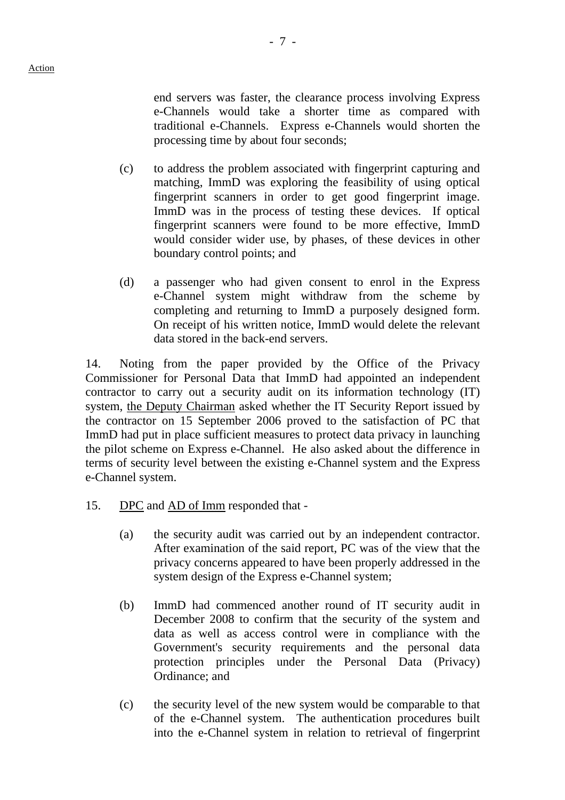end servers was faster, the clearance process involving Express e-Channels would take a shorter time as compared with traditional e-Channels. Express e-Channels would shorten the processing time by about four seconds;

- (c) to address the problem associated with fingerprint capturing and matching, ImmD was exploring the feasibility of using optical fingerprint scanners in order to get good fingerprint image. ImmD was in the process of testing these devices. If optical fingerprint scanners were found to be more effective, ImmD would consider wider use, by phases, of these devices in other boundary control points; and
- (d) a passenger who had given consent to enrol in the Express e-Channel system might withdraw from the scheme by completing and returning to ImmD a purposely designed form. On receipt of his written notice, ImmD would delete the relevant data stored in the back-end servers.

14. Noting from the paper provided by the Office of the Privacy Commissioner for Personal Data that ImmD had appointed an independent contractor to carry out a security audit on its information technology (IT) system, the Deputy Chairman asked whether the IT Security Report issued by the contractor on 15 September 2006 proved to the satisfaction of PC that ImmD had put in place sufficient measures to protect data privacy in launching the pilot scheme on Express e-Channel. He also asked about the difference in terms of security level between the existing e-Channel system and the Express e-Channel system.

- 15. DPC and AD of Imm responded that
	- (a) the security audit was carried out by an independent contractor. After examination of the said report, PC was of the view that the privacy concerns appeared to have been properly addressed in the system design of the Express e-Channel system;
	- (b) ImmD had commenced another round of IT security audit in December 2008 to confirm that the security of the system and data as well as access control were in compliance with the Government's security requirements and the personal data protection principles under the Personal Data (Privacy) Ordinance; and
	- (c) the security level of the new system would be comparable to that of the e-Channel system. The authentication procedures built into the e-Channel system in relation to retrieval of fingerprint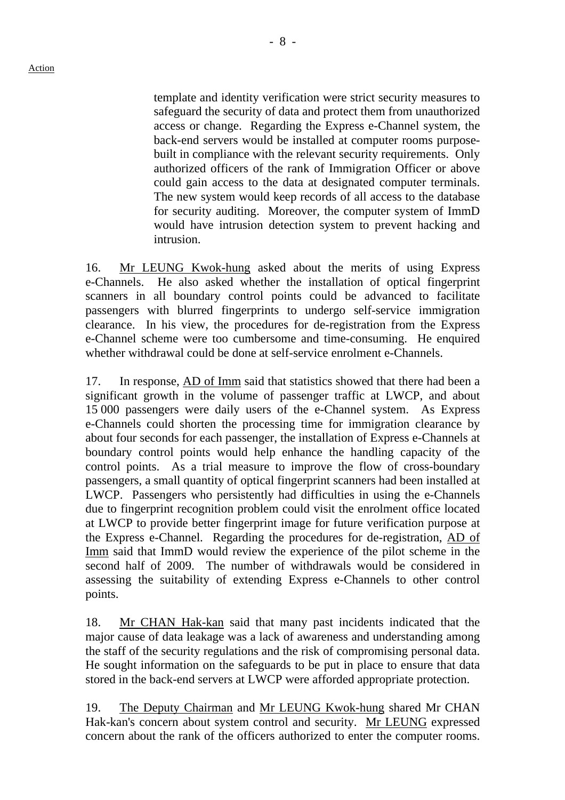template and identity verification were strict security measures to safeguard the security of data and protect them from unauthorized access or change. Regarding the Express e-Channel system, the back-end servers would be installed at computer rooms purposebuilt in compliance with the relevant security requirements. Only authorized officers of the rank of Immigration Officer or above could gain access to the data at designated computer terminals. The new system would keep records of all access to the database for security auditing. Moreover, the computer system of ImmD would have intrusion detection system to prevent hacking and intrusion.

16. Mr LEUNG Kwok-hung asked about the merits of using Express e-Channels. He also asked whether the installation of optical fingerprint scanners in all boundary control points could be advanced to facilitate passengers with blurred fingerprints to undergo self-service immigration clearance. In his view, the procedures for de-registration from the Express e-Channel scheme were too cumbersome and time-consuming. He enquired whether withdrawal could be done at self-service enrolment e-Channels.

17. In response, AD of Imm said that statistics showed that there had been a significant growth in the volume of passenger traffic at LWCP, and about 15 000 passengers were daily users of the e-Channel system. As Express e-Channels could shorten the processing time for immigration clearance by about four seconds for each passenger, the installation of Express e-Channels at boundary control points would help enhance the handling capacity of the control points. As a trial measure to improve the flow of cross-boundary passengers, a small quantity of optical fingerprint scanners had been installed at LWCP. Passengers who persistently had difficulties in using the e-Channels due to fingerprint recognition problem could visit the enrolment office located at LWCP to provide better fingerprint image for future verification purpose at the Express e-Channel. Regarding the procedures for de-registration, AD of Imm said that ImmD would review the experience of the pilot scheme in the second half of 2009. The number of withdrawals would be considered in assessing the suitability of extending Express e-Channels to other control points.

18. Mr CHAN Hak-kan said that many past incidents indicated that the major cause of data leakage was a lack of awareness and understanding among the staff of the security regulations and the risk of compromising personal data. He sought information on the safeguards to be put in place to ensure that data stored in the back-end servers at LWCP were afforded appropriate protection.

19. The Deputy Chairman and Mr LEUNG Kwok-hung shared Mr CHAN Hak-kan's concern about system control and security. Mr LEUNG expressed concern about the rank of the officers authorized to enter the computer rooms.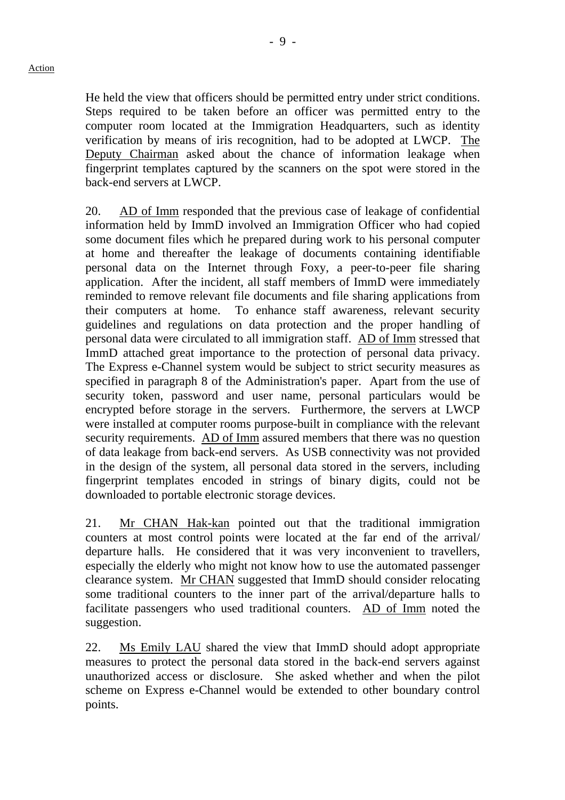He held the view that officers should be permitted entry under strict conditions. Steps required to be taken before an officer was permitted entry to the computer room located at the Immigration Headquarters, such as identity verification by means of iris recognition, had to be adopted at LWCP. The Deputy Chairman asked about the chance of information leakage when fingerprint templates captured by the scanners on the spot were stored in the back-end servers at LWCP.

20. AD of Imm responded that the previous case of leakage of confidential information held by ImmD involved an Immigration Officer who had copied some document files which he prepared during work to his personal computer at home and thereafter the leakage of documents containing identifiable personal data on the Internet through Foxy, a peer-to-peer file sharing application. After the incident, all staff members of ImmD were immediately reminded to remove relevant file documents and file sharing applications from their computers at home. To enhance staff awareness, relevant security guidelines and regulations on data protection and the proper handling of personal data were circulated to all immigration staff. AD of Imm stressed that ImmD attached great importance to the protection of personal data privacy. The Express e-Channel system would be subject to strict security measures as specified in paragraph 8 of the Administration's paper. Apart from the use of security token, password and user name, personal particulars would be encrypted before storage in the servers. Furthermore, the servers at LWCP were installed at computer rooms purpose-built in compliance with the relevant security requirements. AD of Imm assured members that there was no question of data leakage from back-end servers. As USB connectivity was not provided in the design of the system, all personal data stored in the servers, including fingerprint templates encoded in strings of binary digits, could not be downloaded to portable electronic storage devices.

21. Mr CHAN Hak-kan pointed out that the traditional immigration counters at most control points were located at the far end of the arrival/ departure halls. He considered that it was very inconvenient to travellers, especially the elderly who might not know how to use the automated passenger clearance system. Mr CHAN suggested that ImmD should consider relocating some traditional counters to the inner part of the arrival/departure halls to facilitate passengers who used traditional counters. AD of Imm noted the suggestion.

22. Ms Emily LAU shared the view that ImmD should adopt appropriate measures to protect the personal data stored in the back-end servers against unauthorized access or disclosure. She asked whether and when the pilot scheme on Express e-Channel would be extended to other boundary control points.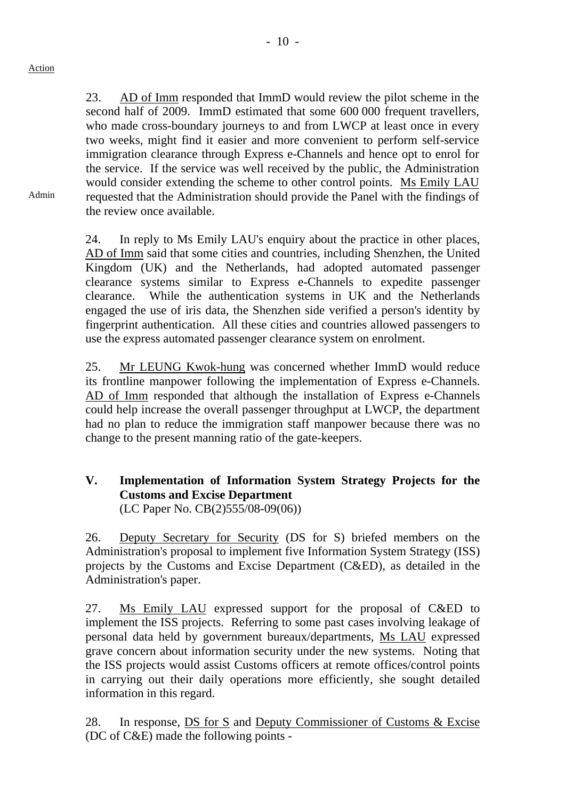Admin

23. AD of Imm responded that ImmD would review the pilot scheme in the second half of 2009. ImmD estimated that some 600 000 frequent travellers, who made cross-boundary journeys to and from LWCP at least once in every two weeks, might find it easier and more convenient to perform self-service immigration clearance through Express e-Channels and hence opt to enrol for the service. If the service was well received by the public, the Administration would consider extending the scheme to other control points. Ms Emily LAU requested that the Administration should provide the Panel with the findings of the review once available.

24. In reply to Ms Emily LAU's enquiry about the practice in other places, AD of Imm said that some cities and countries, including Shenzhen, the United Kingdom (UK) and the Netherlands, had adopted automated passenger clearance systems similar to Express e-Channels to expedite passenger clearance. While the authentication systems in UK and the Netherlands engaged the use of iris data, the Shenzhen side verified a person's identity by fingerprint authentication. All these cities and countries allowed passengers to use the express automated passenger clearance system on enrolment.

25. Mr LEUNG Kwok-hung was concerned whether ImmD would reduce its frontline manpower following the implementation of Express e-Channels. AD of Imm responded that although the installation of Express e-Channels could help increase the overall passenger throughput at LWCP, the department had no plan to reduce the immigration staff manpower because there was no change to the present manning ratio of the gate-keepers.

# **V. Implementation of Information System Strategy Projects for the Customs and Excise Department**  (LC Paper No. CB(2)555/08-09(06))

26. Deputy Secretary for Security (DS for S) briefed members on the Administration's proposal to implement five Information System Strategy (ISS) projects by the Customs and Excise Department (C&ED), as detailed in the Administration's paper.

27. Ms Emily LAU expressed support for the proposal of C&ED to implement the ISS projects. Referring to some past cases involving leakage of personal data held by government bureaux/departments, Ms LAU expressed grave concern about information security under the new systems. Noting that the ISS projects would assist Customs officers at remote offices/control points in carrying out their daily operations more efficiently, she sought detailed information in this regard.

28. In response, DS for S and Deputy Commissioner of Customs & Excise (DC of C&E) made the following points -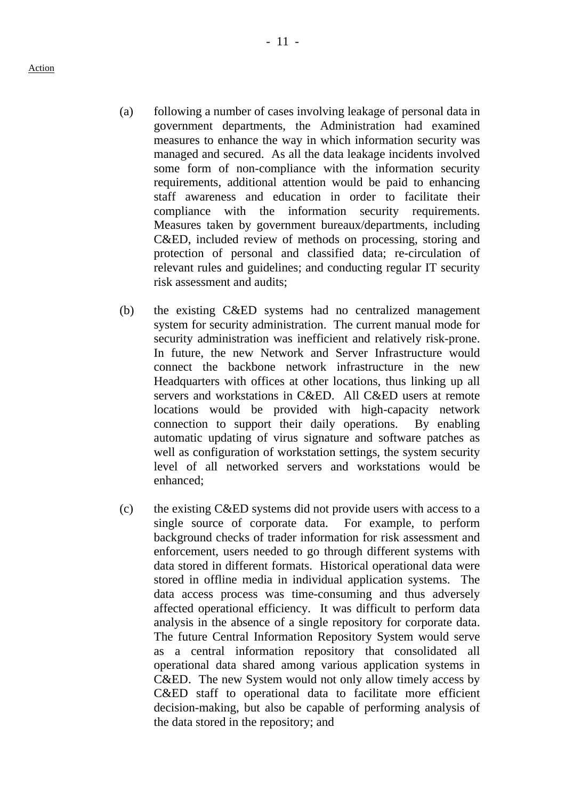- (a) following a number of cases involving leakage of personal data in government departments, the Administration had examined measures to enhance the way in which information security was managed and secured. As all the data leakage incidents involved some form of non-compliance with the information security requirements, additional attention would be paid to enhancing staff awareness and education in order to facilitate their compliance with the information security requirements. Measures taken by government bureaux/departments, including C&ED, included review of methods on processing, storing and protection of personal and classified data; re-circulation of relevant rules and guidelines; and conducting regular IT security risk assessment and audits;
- (b) the existing C&ED systems had no centralized management system for security administration. The current manual mode for security administration was inefficient and relatively risk-prone. In future, the new Network and Server Infrastructure would connect the backbone network infrastructure in the new Headquarters with offices at other locations, thus linking up all servers and workstations in C&ED. All C&ED users at remote locations would be provided with high-capacity network connection to support their daily operations. By enabling automatic updating of virus signature and software patches as well as configuration of workstation settings, the system security level of all networked servers and workstations would be enhanced;
- (c) the existing C&ED systems did not provide users with access to a single source of corporate data. For example, to perform background checks of trader information for risk assessment and enforcement, users needed to go through different systems with data stored in different formats. Historical operational data were stored in offline media in individual application systems. The data access process was time-consuming and thus adversely affected operational efficiency. It was difficult to perform data analysis in the absence of a single repository for corporate data. The future Central Information Repository System would serve as a central information repository that consolidated all operational data shared among various application systems in C&ED. The new System would not only allow timely access by C&ED staff to operational data to facilitate more efficient decision-making, but also be capable of performing analysis of the data stored in the repository; and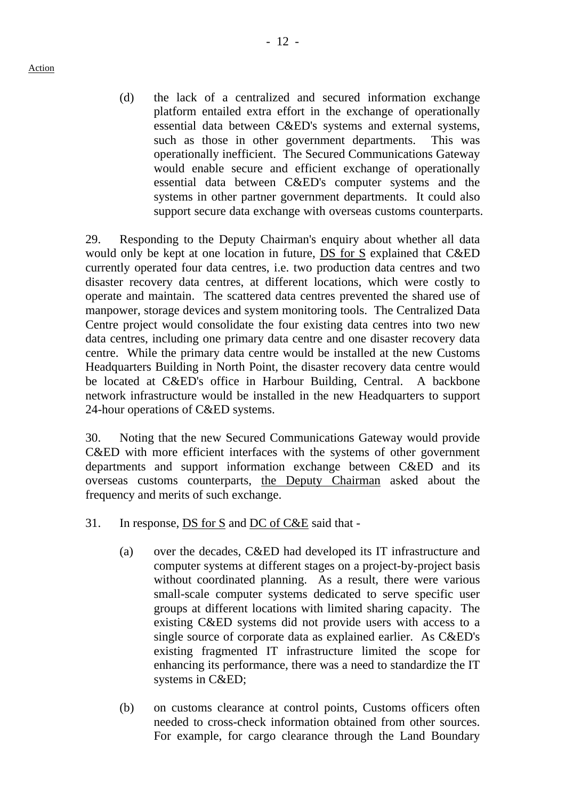Action

(d) the lack of a centralized and secured information exchange platform entailed extra effort in the exchange of operationally essential data between C&ED's systems and external systems, such as those in other government departments. This was operationally inefficient. The Secured Communications Gateway would enable secure and efficient exchange of operationally essential data between C&ED's computer systems and the systems in other partner government departments. It could also support secure data exchange with overseas customs counterparts.

29. Responding to the Deputy Chairman's enquiry about whether all data would only be kept at one location in future, DS for S explained that C&ED currently operated four data centres, i.e. two production data centres and two disaster recovery data centres, at different locations, which were costly to operate and maintain. The scattered data centres prevented the shared use of manpower, storage devices and system monitoring tools. The Centralized Data Centre project would consolidate the four existing data centres into two new data centres, including one primary data centre and one disaster recovery data centre. While the primary data centre would be installed at the new Customs Headquarters Building in North Point, the disaster recovery data centre would be located at C&ED's office in Harbour Building, Central. A backbone network infrastructure would be installed in the new Headquarters to support 24-hour operations of C&ED systems.

30. Noting that the new Secured Communications Gateway would provide C&ED with more efficient interfaces with the systems of other government departments and support information exchange between C&ED and its overseas customs counterparts, the Deputy Chairman asked about the frequency and merits of such exchange.

- 31. In response,  $DS$  for  $S$  and  $DC$  of  $C&E$  said that -
	- (a) over the decades, C&ED had developed its IT infrastructure and computer systems at different stages on a project-by-project basis without coordinated planning. As a result, there were various small-scale computer systems dedicated to serve specific user groups at different locations with limited sharing capacity. The existing C&ED systems did not provide users with access to a single source of corporate data as explained earlier. As C&ED's existing fragmented IT infrastructure limited the scope for enhancing its performance, there was a need to standardize the IT systems in C&ED;
	- (b) on customs clearance at control points, Customs officers often needed to cross-check information obtained from other sources. For example, for cargo clearance through the Land Boundary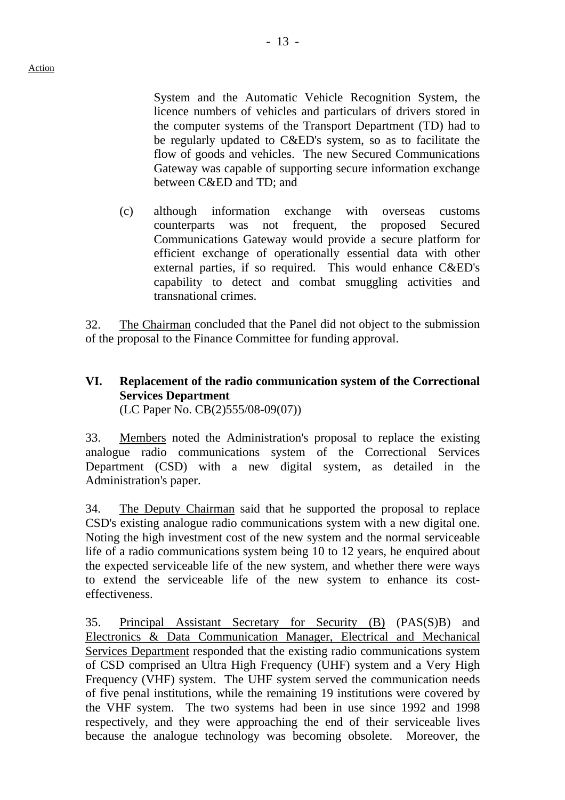System and the Automatic Vehicle Recognition System, the licence numbers of vehicles and particulars of drivers stored in the computer systems of the Transport Department (TD) had to be regularly updated to C&ED's system, so as to facilitate the flow of goods and vehicles. The new Secured Communications Gateway was capable of supporting secure information exchange between C&ED and TD; and

(c) although information exchange with overseas customs counterparts was not frequent, the proposed Secured Communications Gateway would provide a secure platform for efficient exchange of operationally essential data with other external parties, if so required. This would enhance C&ED's capability to detect and combat smuggling activities and transnational crimes.

32. The Chairman concluded that the Panel did not object to the submission of the proposal to the Finance Committee for funding approval.

# **VI. Replacement of the radio communication system of the Correctional Services Department**  (LC Paper No. CB(2)555/08-09(07))

33. Members noted the Administration's proposal to replace the existing analogue radio communications system of the Correctional Services Department (CSD) with a new digital system, as detailed in the Administration's paper.

34. The Deputy Chairman said that he supported the proposal to replace CSD's existing analogue radio communications system with a new digital one. Noting the high investment cost of the new system and the normal serviceable life of a radio communications system being 10 to 12 years, he enquired about the expected serviceable life of the new system, and whether there were ways to extend the serviceable life of the new system to enhance its costeffectiveness.

35. Principal Assistant Secretary for Security (B) (PAS(S)B) and Electronics & Data Communication Manager, Electrical and Mechanical Services Department responded that the existing radio communications system of CSD comprised an Ultra High Frequency (UHF) system and a Very High Frequency (VHF) system. The UHF system served the communication needs of five penal institutions, while the remaining 19 institutions were covered by the VHF system. The two systems had been in use since 1992 and 1998 respectively, and they were approaching the end of their serviceable lives because the analogue technology was becoming obsolete. Moreover, the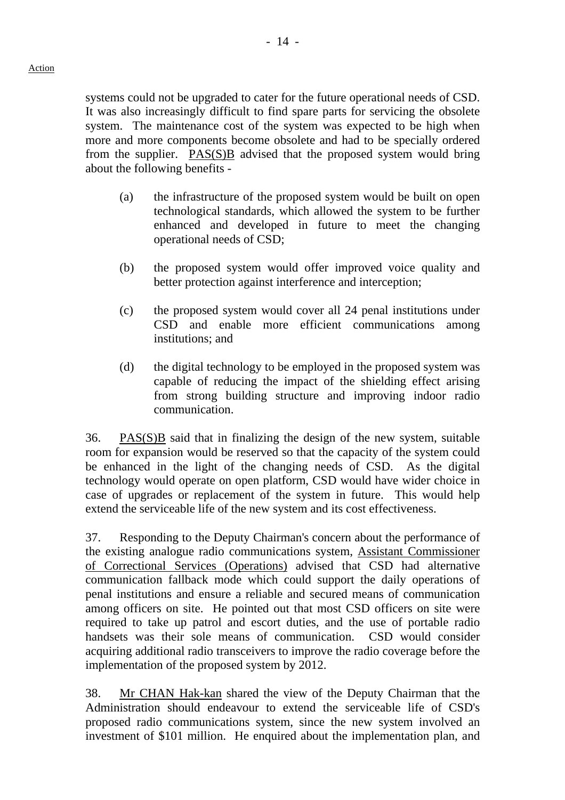systems could not be upgraded to cater for the future operational needs of CSD. It was also increasingly difficult to find spare parts for servicing the obsolete system. The maintenance cost of the system was expected to be high when more and more components become obsolete and had to be specially ordered from the supplier. PAS(S)B advised that the proposed system would bring about the following benefits -

- (a) the infrastructure of the proposed system would be built on open technological standards, which allowed the system to be further enhanced and developed in future to meet the changing operational needs of CSD;
- (b) the proposed system would offer improved voice quality and better protection against interference and interception;
- (c) the proposed system would cover all 24 penal institutions under CSD and enable more efficient communications among institutions; and
- (d) the digital technology to be employed in the proposed system was capable of reducing the impact of the shielding effect arising from strong building structure and improving indoor radio communication.

36. PAS(S)B said that in finalizing the design of the new system, suitable room for expansion would be reserved so that the capacity of the system could be enhanced in the light of the changing needs of CSD. As the digital technology would operate on open platform, CSD would have wider choice in case of upgrades or replacement of the system in future. This would help extend the serviceable life of the new system and its cost effectiveness.

37. Responding to the Deputy Chairman's concern about the performance of the existing analogue radio communications system, Assistant Commissioner of Correctional Services (Operations) advised that CSD had alternative communication fallback mode which could support the daily operations of penal institutions and ensure a reliable and secured means of communication among officers on site. He pointed out that most CSD officers on site were required to take up patrol and escort duties, and the use of portable radio handsets was their sole means of communication. CSD would consider acquiring additional radio transceivers to improve the radio coverage before the implementation of the proposed system by 2012.

38. Mr CHAN Hak-kan shared the view of the Deputy Chairman that the Administration should endeavour to extend the serviceable life of CSD's proposed radio communications system, since the new system involved an investment of \$101 million. He enquired about the implementation plan, and